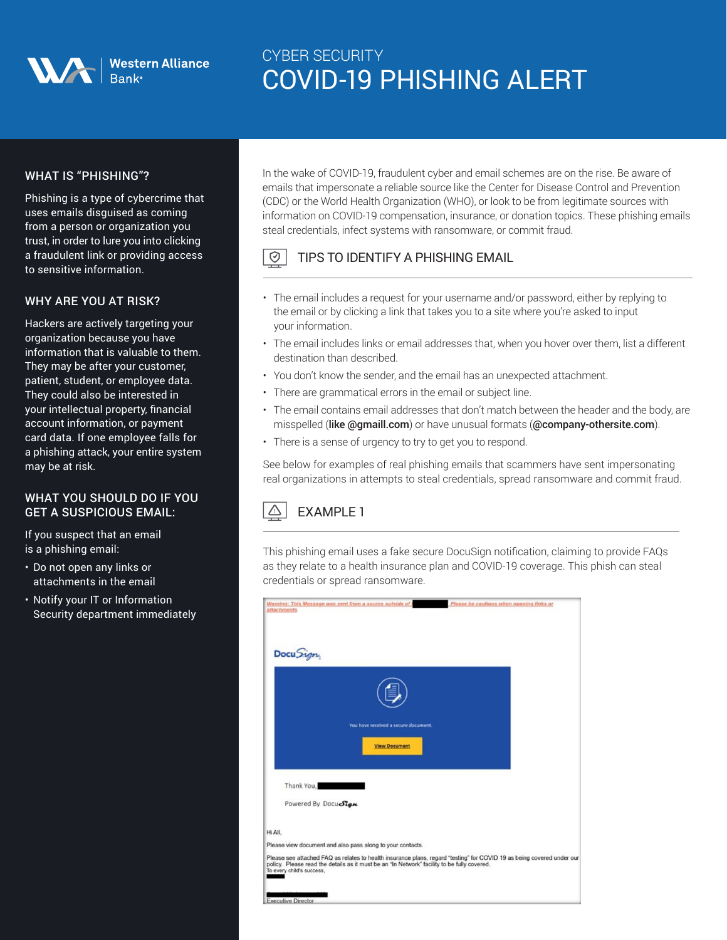| Western Alliance<br>| Bank®

# CYBER SECURITY COVID-19 PHISHING ALERT

## WHAT IS "PHISHING"?

Phishing is a type of cybercrime that uses emails disguised as coming from a person or organization you trust, in order to lure you into clicking a fraudulent link or providing access to sensitive information.

### WHY ARE YOU AT RISK?

Hackers are actively targeting your organization because you have information that is valuable to them. They may be after your customer, patient, student, or employee data. They could also be interested in your intellectual property, financial account information, or payment card data. If one employee falls for a phishing attack, your entire system may be at risk.

#### WHAT YOU SHOULD DO IF YOU GET A SUSPICIOUS EMAIL:

If you suspect that an email is a phishing email:

- Do not open any links or attachments in the email
- Notify your IT or Information Security department immediately

In the wake of COVID-19, fraudulent cyber and email schemes are on the rise. Be aware of emails that impersonate a reliable source like the Center for Disease Control and Prevention (CDC) or the World Health Organization (WHO), or look to be from legitimate sources with information on COVID-19 compensation, insurance, or donation topics. These phishing emails steal credentials, infect systems with ransomware, or commit fraud.

#### $\odot$ TIPS TO IDENTIFY A PHISHING EMAIL

- The email includes a request for your username and/or password, either by replying to the email or by clicking a link that takes you to a site where you're asked to input your information.
- The email includes links or email addresses that, when you hover over them, list a different destination than described.
- You don't know the sender, and the email has an unexpected attachment.
- There are grammatical errors in the email or subject line.
- The email contains email addresses that don't match between the header and the body, are misspelled (like @gmaill.com) or have unusual formats (@company-othersite.com).
- There is a sense of urgency to try to get you to respond.

See below for examples of real phishing emails that scammers have sent impersonating real organizations in attempts to steal credentials, spread ransomware and commit fraud.

#### $\triangle$ EXAMPLE 1

This phishing email uses a fake secure DocuSign notification, claiming to provide FAQs as they relate to a health insurance plan and COVID-19 coverage. This phish can steal credentials or spread ransomware.

| attachments               | Warning: This Message was sent from a source outside of                                     | Please be cautious when opening links or                                                                               |  |
|---------------------------|---------------------------------------------------------------------------------------------|------------------------------------------------------------------------------------------------------------------------|--|
| Docu Sign                 |                                                                                             |                                                                                                                        |  |
|                           |                                                                                             |                                                                                                                        |  |
|                           | You have received a secure document.                                                        |                                                                                                                        |  |
|                           | <b>View Document</b>                                                                        |                                                                                                                        |  |
| Thank You,                |                                                                                             |                                                                                                                        |  |
| Powered By Docuelign      |                                                                                             |                                                                                                                        |  |
| Hi All.                   |                                                                                             |                                                                                                                        |  |
|                           | Please view document and also pass along to your contacts.                                  |                                                                                                                        |  |
| To every child's success, | policy. Please read the details as it must be an "In Network" facility to be fully covered. | Please see attached FAQ as relates to health insurance plans, regard "testing" for COVID 19 as being covered under our |  |
| <b>Executive Director</b> |                                                                                             |                                                                                                                        |  |